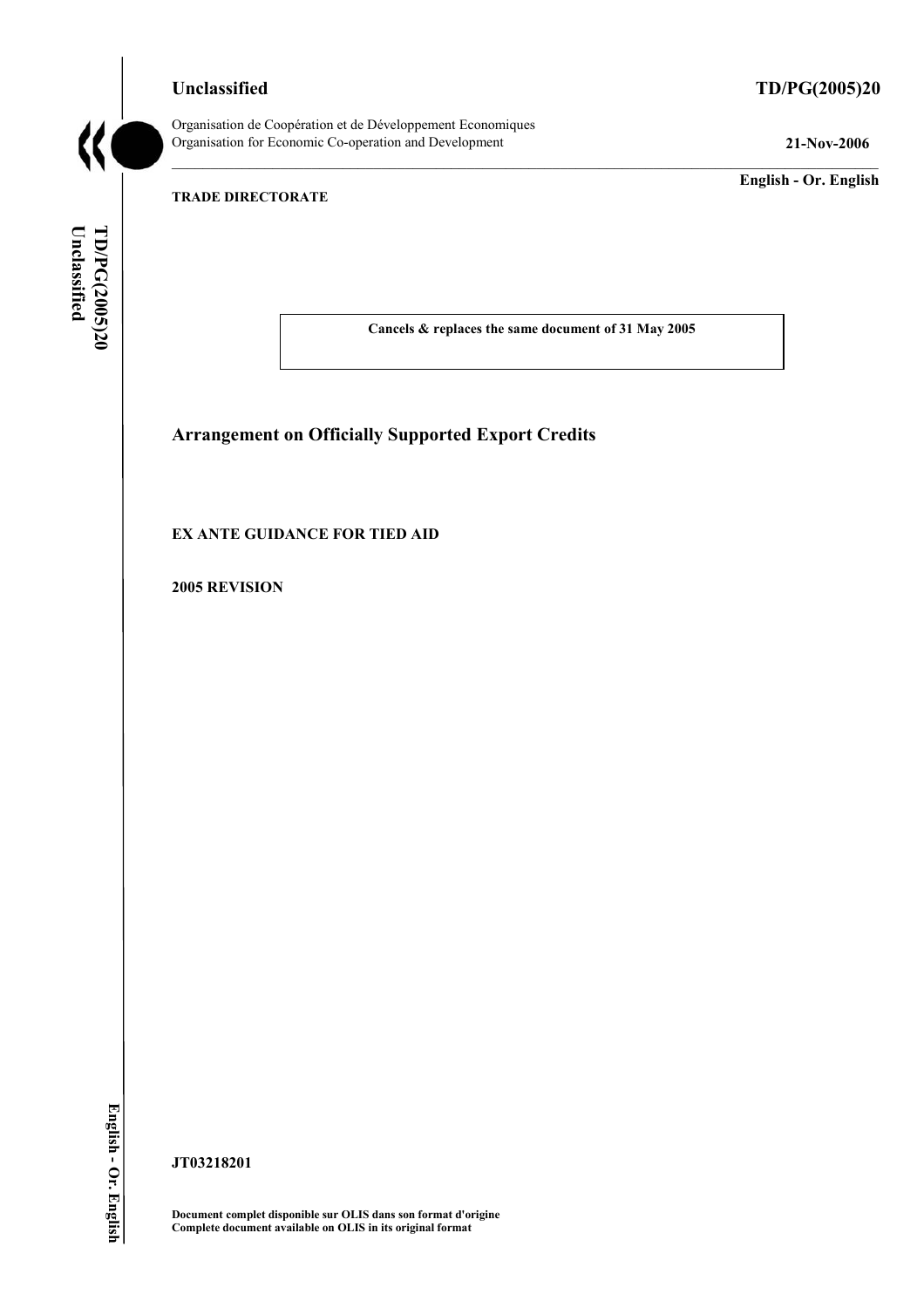**Unclassified TD/PG(2005)20**



Organisation de Coopération et de Développement Economiques Organisation for Economic Co-operation and Development **21-Nov-2006** 

**English - Or. English** 

## **TRADE DIRECTORATE**

Unclassified TD/PG(2005)20 **Unclassified TD/PG(2005)20 English - Or. English** 

**Cancels & replaces the same document of 31 May 2005** 

# **Arrangement on Officially Supported Export Credits**

#### **EX ANTE GUIDANCE FOR TIED AID**

**2005 REVISION** 

**JT03218201** 

**Document complet disponible sur OLIS dans son format d'origine Complete document available on OLIS in its original format**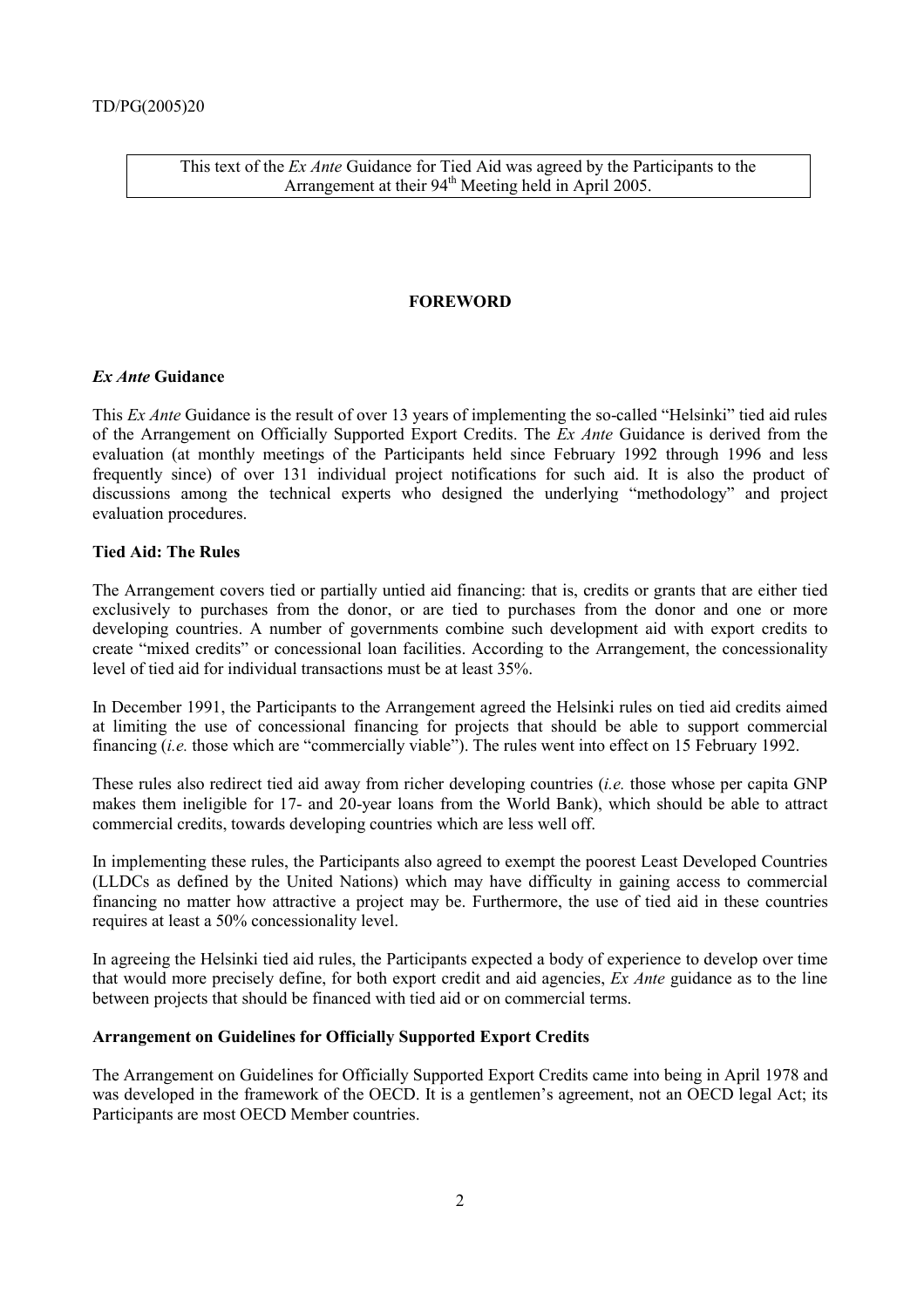This text of the *Ex Ante* Guidance for Tied Aid was agreed by the Participants to the Arrangement at their 94<sup>th</sup> Meeting held in April 2005.

#### **FOREWORD**

#### *Ex Ante* **Guidance**

This *Ex Ante* Guidance is the result of over 13 years of implementing the so-called "Helsinki" tied aid rules of the Arrangement on Officially Supported Export Credits. The *Ex Ante* Guidance is derived from the evaluation (at monthly meetings of the Participants held since February 1992 through 1996 and less frequently since) of over 131 individual project notifications for such aid. It is also the product of discussions among the technical experts who designed the underlying "methodology" and project evaluation procedures.

#### **Tied Aid: The Rules**

The Arrangement covers tied or partially untied aid financing: that is, credits or grants that are either tied exclusively to purchases from the donor, or are tied to purchases from the donor and one or more developing countries. A number of governments combine such development aid with export credits to create "mixed credits" or concessional loan facilities. According to the Arrangement, the concessionality level of tied aid for individual transactions must be at least 35%.

In December 1991, the Participants to the Arrangement agreed the Helsinki rules on tied aid credits aimed at limiting the use of concessional financing for projects that should be able to support commercial financing (*i.e.* those which are "commercially viable"). The rules went into effect on 15 February 1992.

These rules also redirect tied aid away from richer developing countries (*i.e.* those whose per capita GNP makes them ineligible for 17- and 20-year loans from the World Bank), which should be able to attract commercial credits, towards developing countries which are less well off.

In implementing these rules, the Participants also agreed to exempt the poorest Least Developed Countries (LLDCs as defined by the United Nations) which may have difficulty in gaining access to commercial financing no matter how attractive a project may be. Furthermore, the use of tied aid in these countries requires at least a 50% concessionality level.

In agreeing the Helsinki tied aid rules, the Participants expected a body of experience to develop over time that would more precisely define, for both export credit and aid agencies, *Ex Ante* guidance as to the line between projects that should be financed with tied aid or on commercial terms.

#### **Arrangement on Guidelines for Officially Supported Export Credits**

The Arrangement on Guidelines for Officially Supported Export Credits came into being in April 1978 and was developed in the framework of the OECD. It is a gentlemen's agreement, not an OECD legal Act; its Participants are most OECD Member countries.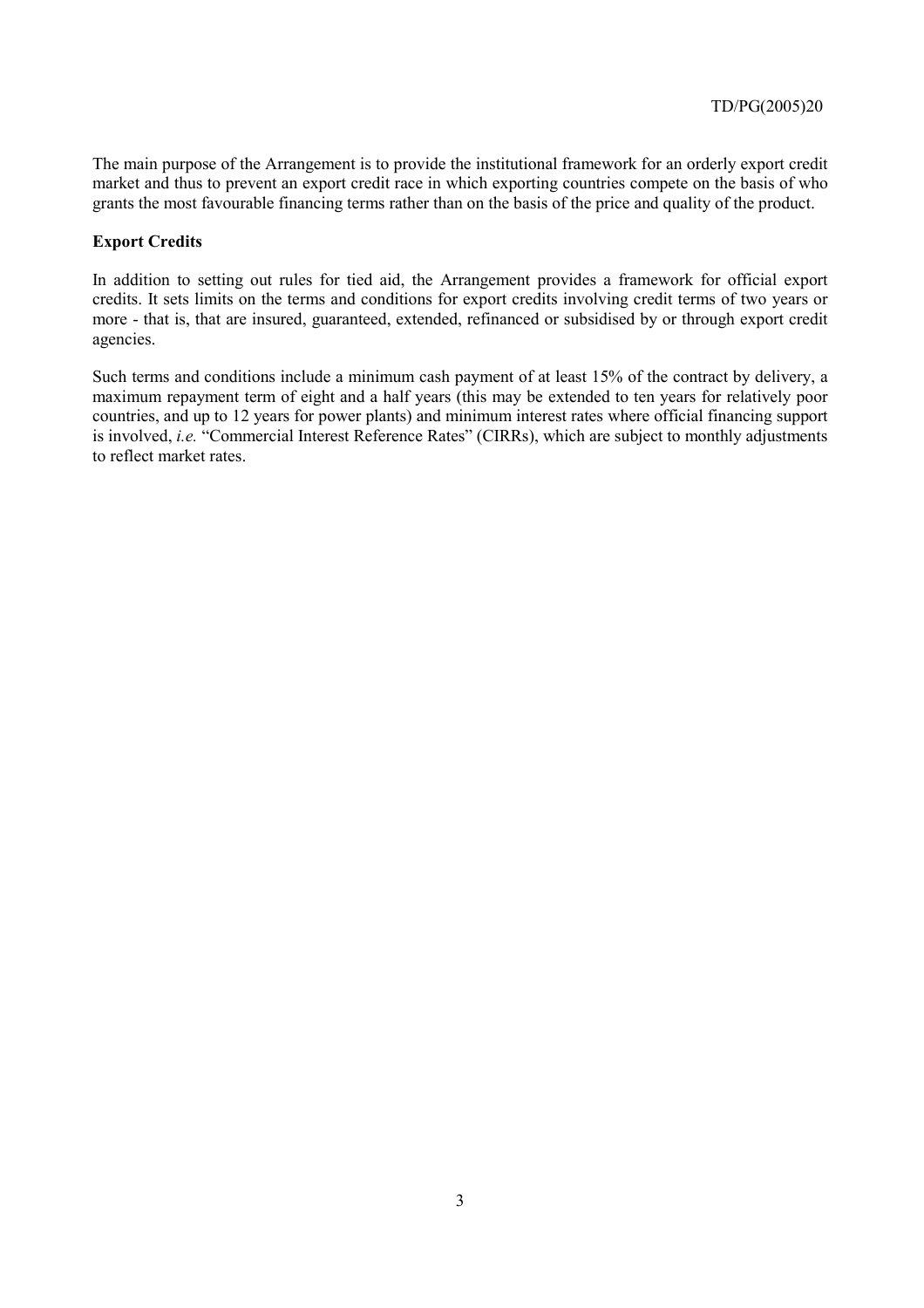The main purpose of the Arrangement is to provide the institutional framework for an orderly export credit market and thus to prevent an export credit race in which exporting countries compete on the basis of who grants the most favourable financing terms rather than on the basis of the price and quality of the product.

## **Export Credits**

In addition to setting out rules for tied aid, the Arrangement provides a framework for official export credits. It sets limits on the terms and conditions for export credits involving credit terms of two years or more - that is, that are insured, guaranteed, extended, refinanced or subsidised by or through export credit agencies.

Such terms and conditions include a minimum cash payment of at least 15% of the contract by delivery, a maximum repayment term of eight and a half years (this may be extended to ten years for relatively poor countries, and up to 12 years for power plants) and minimum interest rates where official financing support is involved, *i.e.* "Commercial Interest Reference Rates" (CIRRs), which are subject to monthly adjustments to reflect market rates.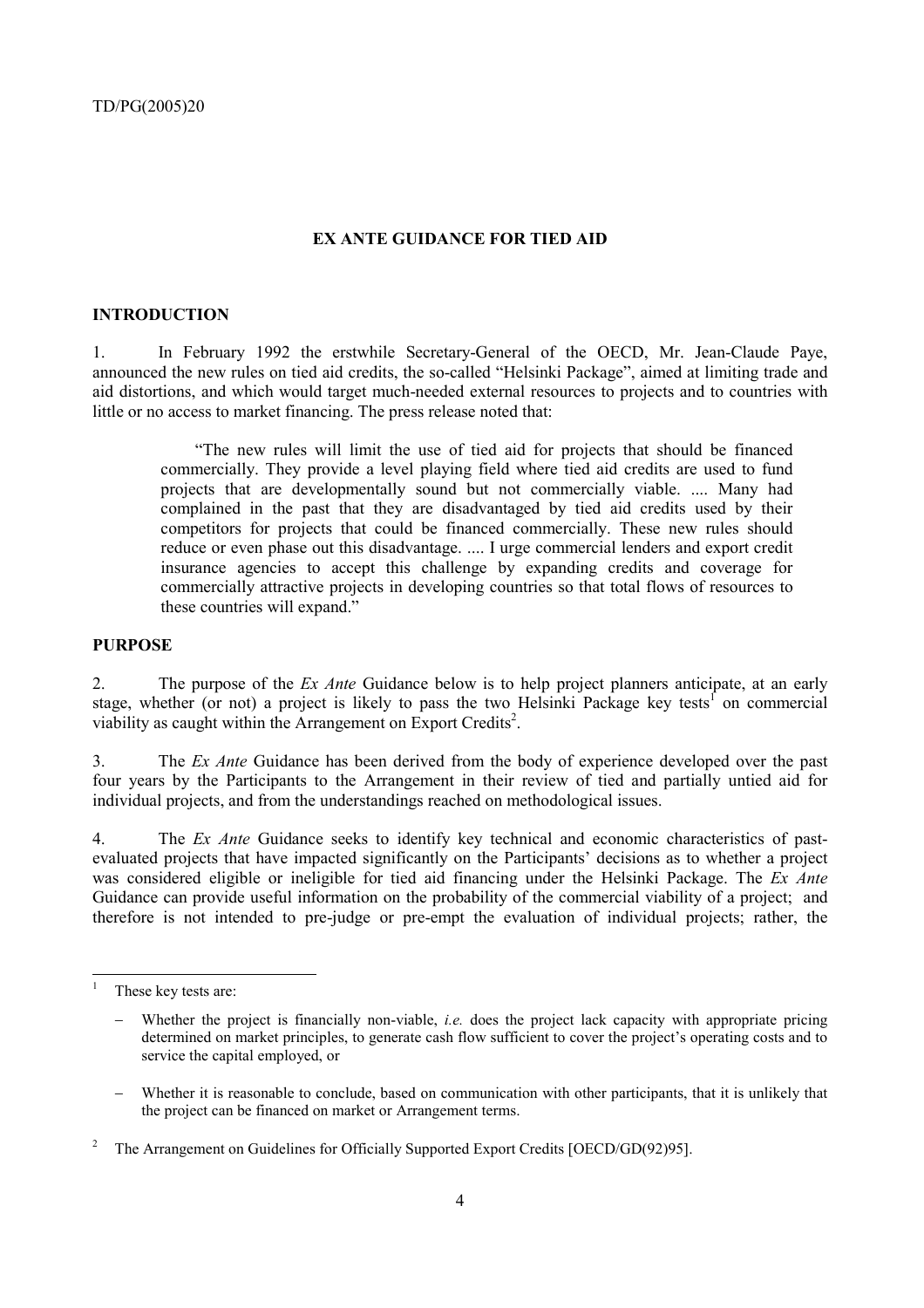## **EX ANTE GUIDANCE FOR TIED AID**

#### **INTRODUCTION**

1. In February 1992 the erstwhile Secretary-General of the OECD, Mr. Jean-Claude Paye, announced the new rules on tied aid credits, the so-called "Helsinki Package", aimed at limiting trade and aid distortions, and which would target much-needed external resources to projects and to countries with little or no access to market financing. The press release noted that:

"The new rules will limit the use of tied aid for projects that should be financed commercially. They provide a level playing field where tied aid credits are used to fund projects that are developmentally sound but not commercially viable. .... Many had complained in the past that they are disadvantaged by tied aid credits used by their competitors for projects that could be financed commercially. These new rules should reduce or even phase out this disadvantage. .... I urge commercial lenders and export credit insurance agencies to accept this challenge by expanding credits and coverage for commercially attractive projects in developing countries so that total flows of resources to these countries will expand."

#### **PURPOSE**

2. The purpose of the *Ex Ante* Guidance below is to help project planners anticipate, at an early stage, whether (or not) a project is likely to pass the two Helsinki Package key tests<sup>1</sup> on commercial viability as caught within the Arrangement on Export Credits<sup>2</sup>.

3. The *Ex Ante* Guidance has been derived from the body of experience developed over the past four years by the Participants to the Arrangement in their review of tied and partially untied aid for individual projects, and from the understandings reached on methodological issues.

4. The *Ex Ante* Guidance seeks to identify key technical and economic characteristics of pastevaluated projects that have impacted significantly on the Participants' decisions as to whether a project was considered eligible or ineligible for tied aid financing under the Helsinki Package. The *Ex Ante* Guidance can provide useful information on the probability of the commercial viability of a project; and therefore is not intended to pre-judge or pre-empt the evaluation of individual projects; rather, the

<sup>|&</sup>lt;br>|<br>| These key tests are:

Whether the project is financially non-viable, *i.e.* does the project lack capacity with appropriate pricing determined on market principles, to generate cash flow sufficient to cover the project's operating costs and to service the capital employed, or

<sup>−</sup> Whether it is reasonable to conclude, based on communication with other participants, that it is unlikely that the project can be financed on market or Arrangement terms.

<sup>2</sup> The Arrangement on Guidelines for Officially Supported Export Credits [OECD/GD(92)95].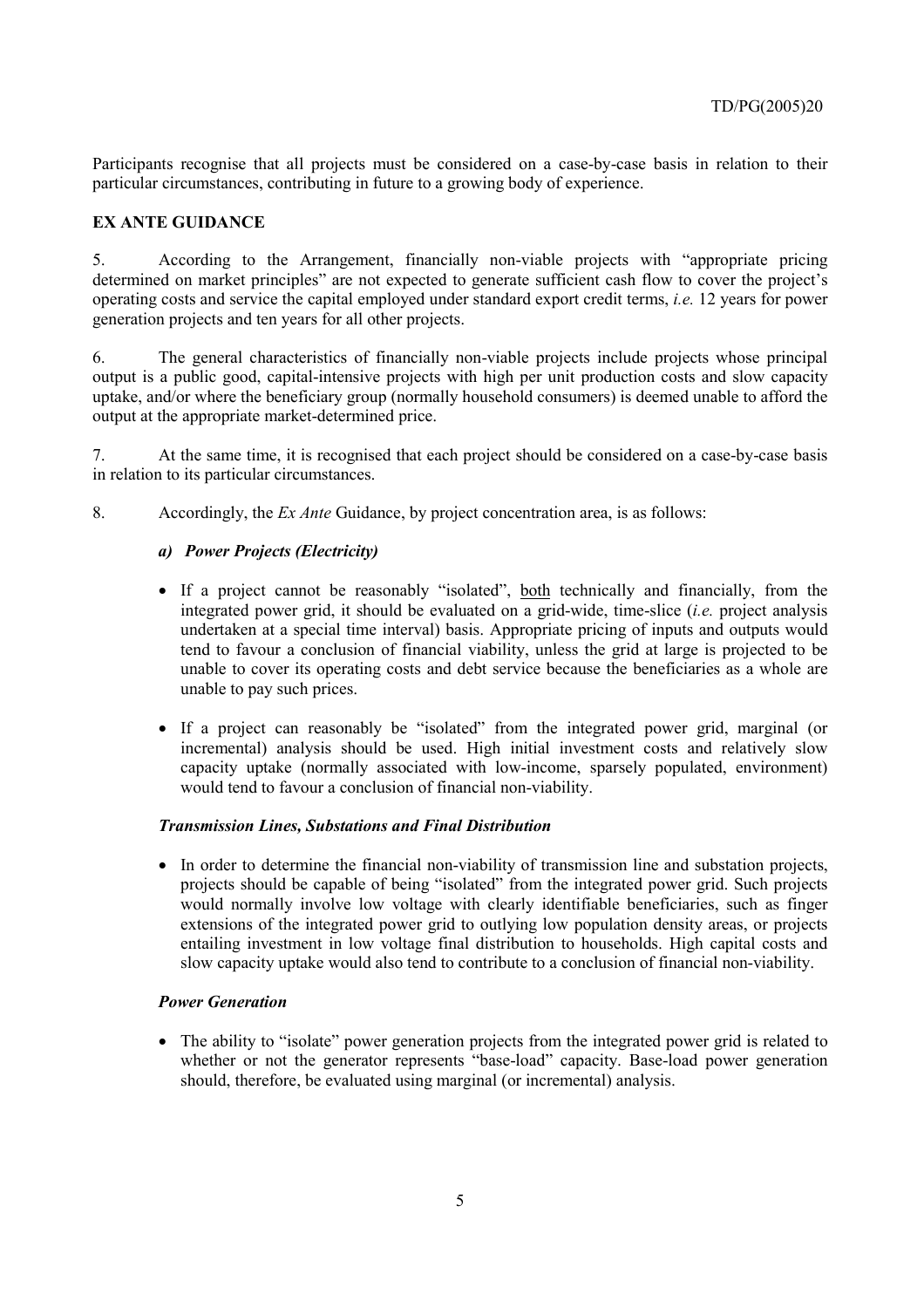Participants recognise that all projects must be considered on a case-by-case basis in relation to their particular circumstances, contributing in future to a growing body of experience.

## **EX ANTE GUIDANCE**

5. According to the Arrangement, financially non-viable projects with "appropriate pricing determined on market principles" are not expected to generate sufficient cash flow to cover the project's operating costs and service the capital employed under standard export credit terms, *i.e.* 12 years for power generation projects and ten years for all other projects.

6. The general characteristics of financially non-viable projects include projects whose principal output is a public good, capital-intensive projects with high per unit production costs and slow capacity uptake, and/or where the beneficiary group (normally household consumers) is deemed unable to afford the output at the appropriate market-determined price.

7. At the same time, it is recognised that each project should be considered on a case-by-case basis in relation to its particular circumstances.

8. Accordingly, the *Ex Ante* Guidance, by project concentration area, is as follows:

## *a) Power Projects (Electricity)*

- If a project cannot be reasonably "isolated", both technically and financially, from the integrated power grid, it should be evaluated on a grid-wide, time-slice (*i.e.* project analysis undertaken at a special time interval) basis. Appropriate pricing of inputs and outputs would tend to favour a conclusion of financial viability, unless the grid at large is projected to be unable to cover its operating costs and debt service because the beneficiaries as a whole are unable to pay such prices.
- If a project can reasonably be "isolated" from the integrated power grid, marginal (or incremental) analysis should be used. High initial investment costs and relatively slow capacity uptake (normally associated with low-income, sparsely populated, environment) would tend to favour a conclusion of financial non-viability.

## *Transmission Lines, Substations and Final Distribution*

• In order to determine the financial non-viability of transmission line and substation projects, projects should be capable of being "isolated" from the integrated power grid. Such projects would normally involve low voltage with clearly identifiable beneficiaries, such as finger extensions of the integrated power grid to outlying low population density areas, or projects entailing investment in low voltage final distribution to households. High capital costs and slow capacity uptake would also tend to contribute to a conclusion of financial non-viability.

## *Power Generation*

• The ability to "isolate" power generation projects from the integrated power grid is related to whether or not the generator represents "base-load" capacity. Base-load power generation should, therefore, be evaluated using marginal (or incremental) analysis.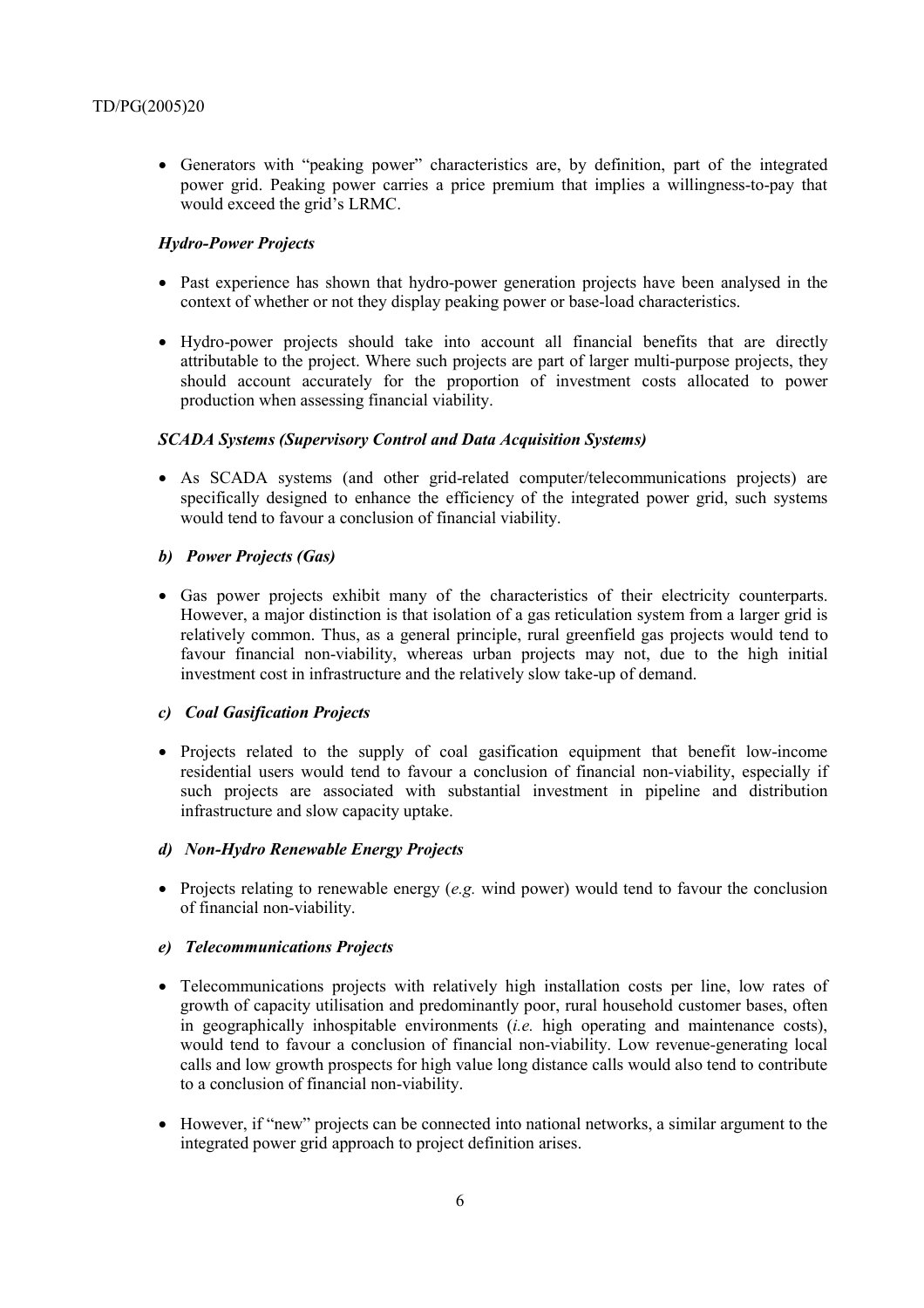• Generators with "peaking power" characteristics are, by definition, part of the integrated power grid. Peaking power carries a price premium that implies a willingness-to-pay that would exceed the grid's LRMC.

#### *Hydro-Power Projects*

- Past experience has shown that hydro-power generation projects have been analysed in the context of whether or not they display peaking power or base-load characteristics.
- Hydro-power projects should take into account all financial benefits that are directly attributable to the project. Where such projects are part of larger multi-purpose projects, they should account accurately for the proportion of investment costs allocated to power production when assessing financial viability.

#### *SCADA Systems (Supervisory Control and Data Acquisition Systems)*

• As SCADA systems (and other grid-related computer/telecommunications projects) are specifically designed to enhance the efficiency of the integrated power grid, such systems would tend to favour a conclusion of financial viability.

#### *b) Power Projects (Gas)*

• Gas power projects exhibit many of the characteristics of their electricity counterparts. However, a major distinction is that isolation of a gas reticulation system from a larger grid is relatively common. Thus, as a general principle, rural greenfield gas projects would tend to favour financial non-viability, whereas urban projects may not, due to the high initial investment cost in infrastructure and the relatively slow take-up of demand.

#### *c) Coal Gasification Projects*

• Projects related to the supply of coal gasification equipment that benefit low-income residential users would tend to favour a conclusion of financial non-viability, especially if such projects are associated with substantial investment in pipeline and distribution infrastructure and slow capacity uptake.

#### *d) Non-Hydro Renewable Energy Projects*

• Projects relating to renewable energy (*e.g.* wind power) would tend to favour the conclusion of financial non-viability.

## *e) Telecommunications Projects*

- Telecommunications projects with relatively high installation costs per line, low rates of growth of capacity utilisation and predominantly poor, rural household customer bases, often in geographically inhospitable environments (*i.e.* high operating and maintenance costs), would tend to favour a conclusion of financial non-viability. Low revenue-generating local calls and low growth prospects for high value long distance calls would also tend to contribute to a conclusion of financial non-viability.
- However, if "new" projects can be connected into national networks, a similar argument to the integrated power grid approach to project definition arises.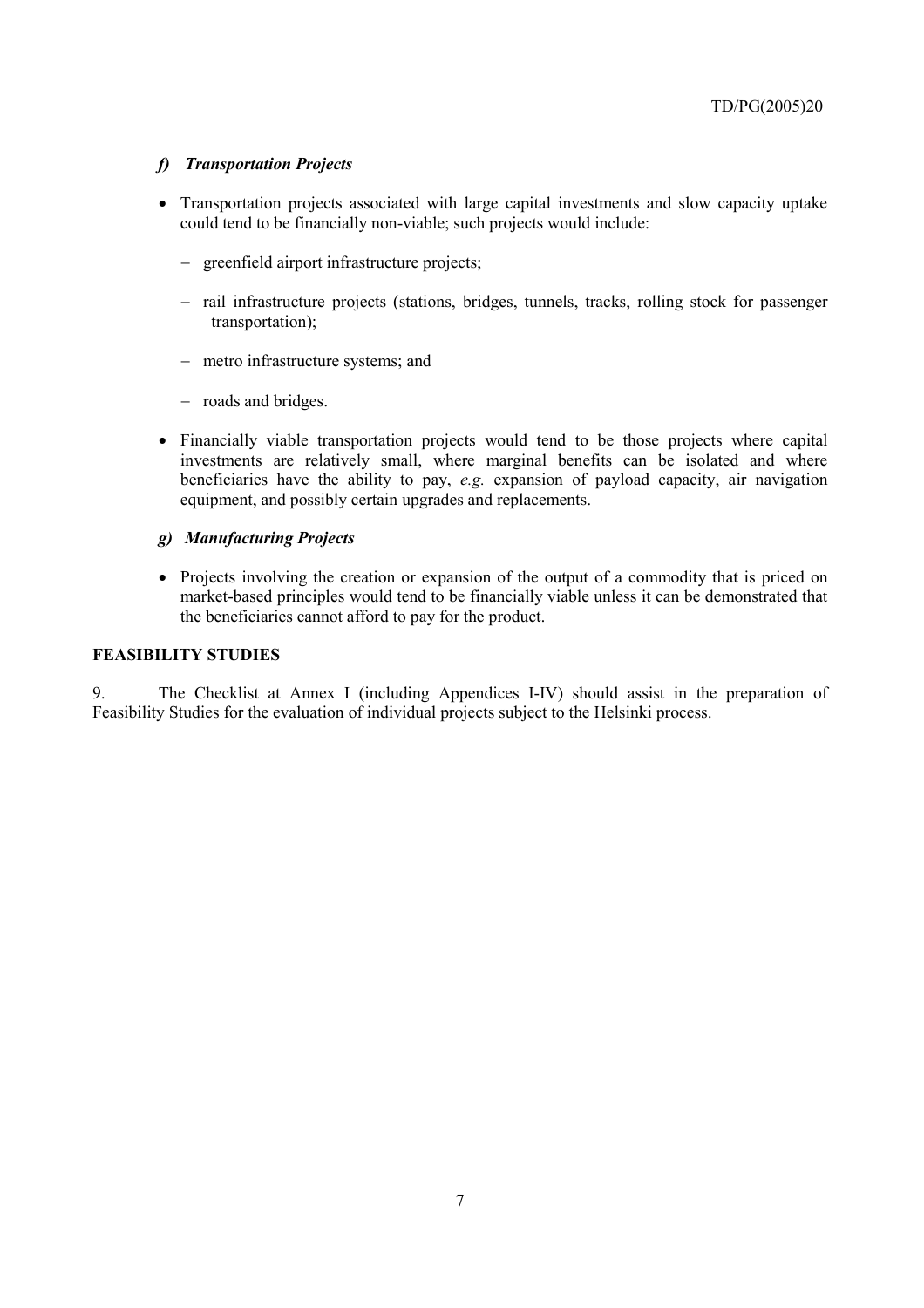## *f) Transportation Projects*

- Transportation projects associated with large capital investments and slow capacity uptake could tend to be financially non-viable; such projects would include:
	- − greenfield airport infrastructure projects;
	- − rail infrastructure projects (stations, bridges, tunnels, tracks, rolling stock for passenger transportation);
	- − metro infrastructure systems; and
	- − roads and bridges.
- Financially viable transportation projects would tend to be those projects where capital investments are relatively small, where marginal benefits can be isolated and where beneficiaries have the ability to pay, *e.g.* expansion of payload capacity, air navigation equipment, and possibly certain upgrades and replacements.

## *g) Manufacturing Projects*

• Projects involving the creation or expansion of the output of a commodity that is priced on market-based principles would tend to be financially viable unless it can be demonstrated that the beneficiaries cannot afford to pay for the product.

## **FEASIBILITY STUDIES**

9. The Checklist at Annex I (including Appendices I-IV) should assist in the preparation of Feasibility Studies for the evaluation of individual projects subject to the Helsinki process.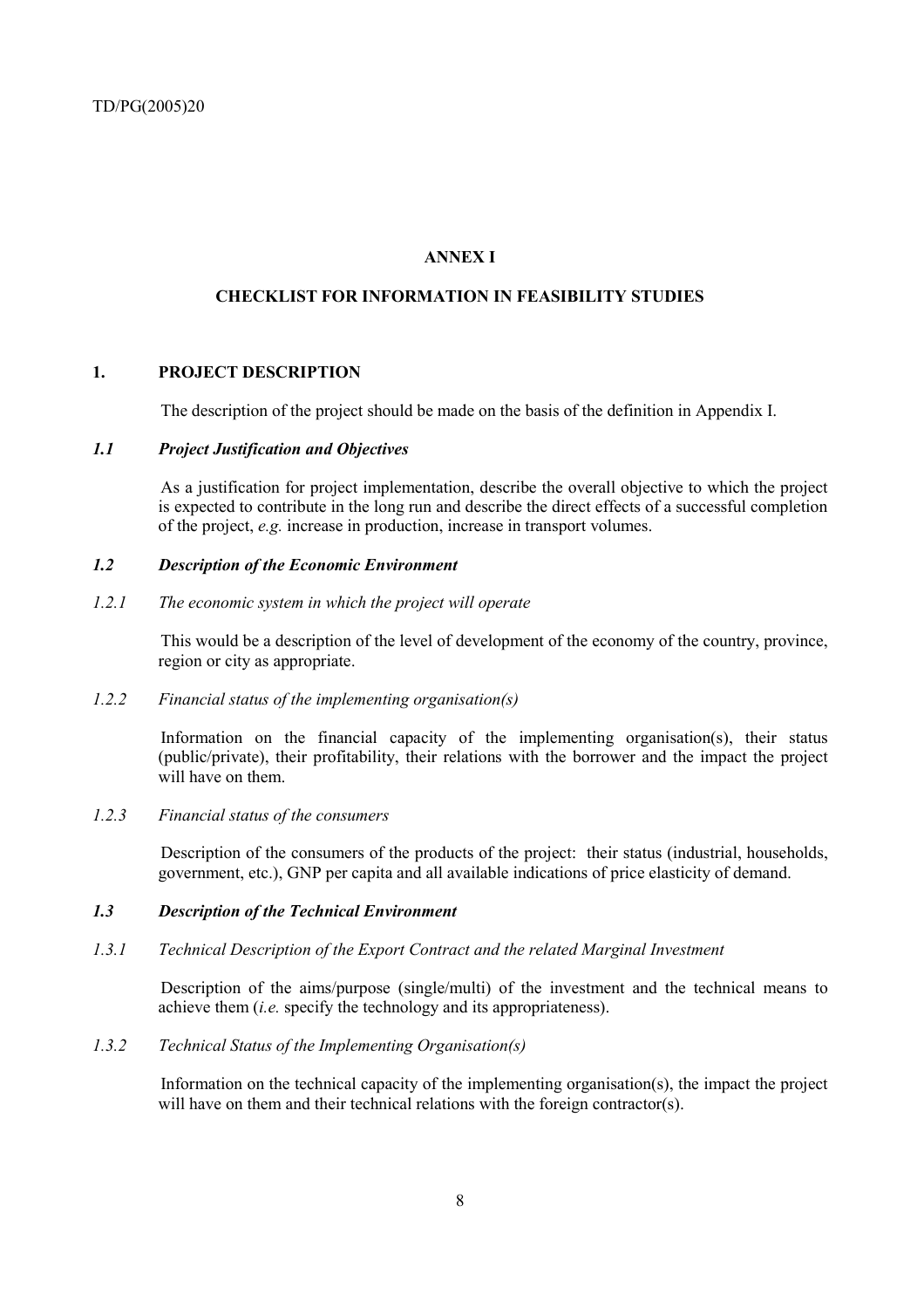## **ANNEX I**

## **CHECKLIST FOR INFORMATION IN FEASIBILITY STUDIES**

## **1. PROJECT DESCRIPTION**

The description of the project should be made on the basis of the definition in Appendix I.

## *1.1 Project Justification and Objectives*

As a justification for project implementation, describe the overall objective to which the project is expected to contribute in the long run and describe the direct effects of a successful completion of the project, *e.g.* increase in production, increase in transport volumes.

## *1.2 Description of the Economic Environment*

## *1.2.1 The economic system in which the project will operate*

This would be a description of the level of development of the economy of the country, province, region or city as appropriate.

## *1.2.2 Financial status of the implementing organisation(s)*

Information on the financial capacity of the implementing organisation(s), their status (public/private), their profitability, their relations with the borrower and the impact the project will have on them.

## *1.2.3 Financial status of the consumers*

Description of the consumers of the products of the project: their status (industrial, households, government, etc.), GNP per capita and all available indications of price elasticity of demand.

## *1.3 Description of the Technical Environment*

## *1.3.1 Technical Description of the Export Contract and the related Marginal Investment*

Description of the aims/purpose (single/multi) of the investment and the technical means to achieve them (*i.e.* specify the technology and its appropriateness).

## *1.3.2 Technical Status of the Implementing Organisation(s)*

Information on the technical capacity of the implementing organisation(s), the impact the project will have on them and their technical relations with the foreign contractor(s).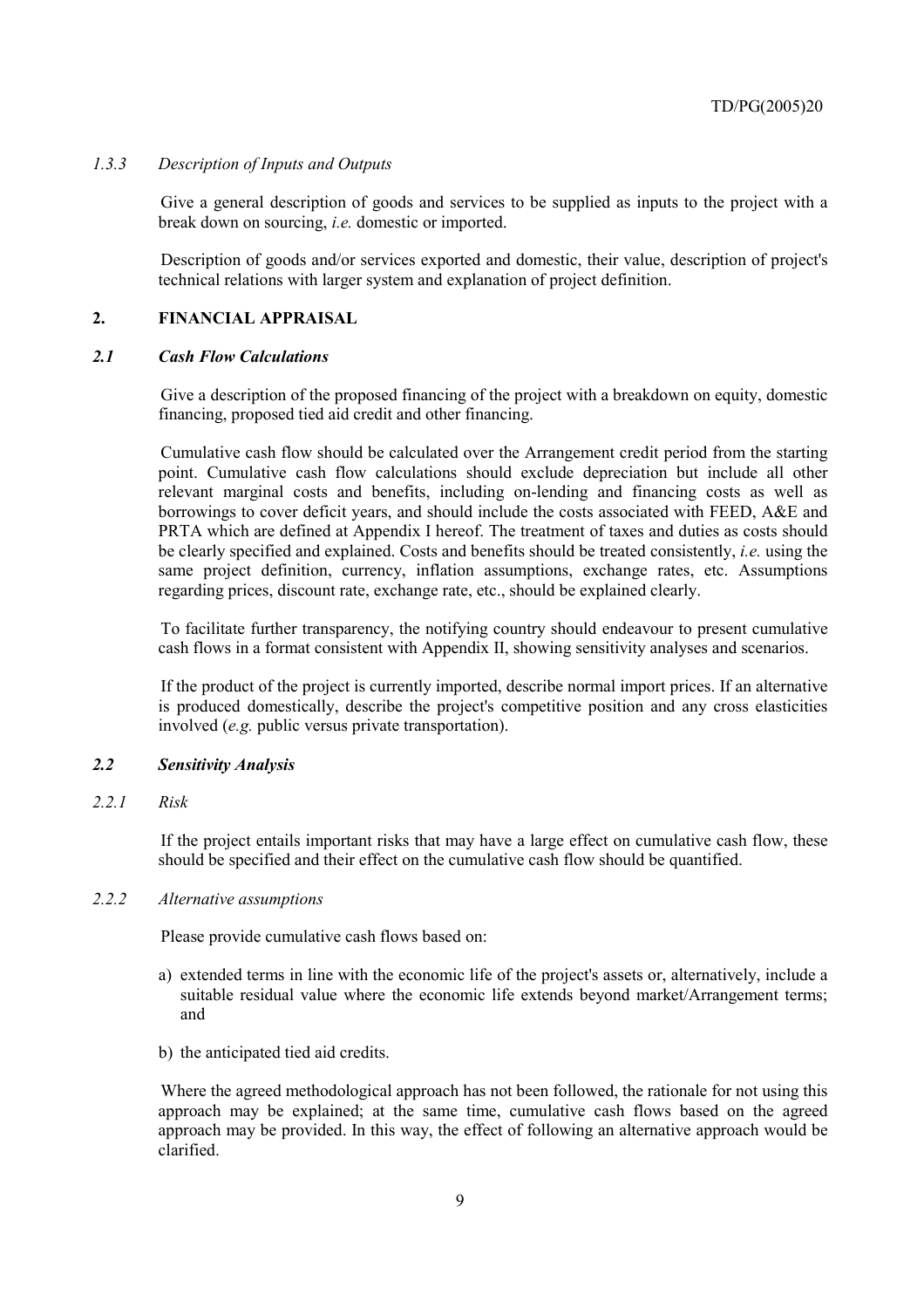## *1.3.3 Description of Inputs and Outputs*

Give a general description of goods and services to be supplied as inputs to the project with a break down on sourcing, *i.e.* domestic or imported.

Description of goods and/or services exported and domestic, their value, description of project's technical relations with larger system and explanation of project definition.

#### **2. FINANCIAL APPRAISAL**

#### *2.1 Cash Flow Calculations*

Give a description of the proposed financing of the project with a breakdown on equity, domestic financing, proposed tied aid credit and other financing.

Cumulative cash flow should be calculated over the Arrangement credit period from the starting point. Cumulative cash flow calculations should exclude depreciation but include all other relevant marginal costs and benefits, including on-lending and financing costs as well as borrowings to cover deficit years, and should include the costs associated with FEED, A&E and PRTA which are defined at Appendix I hereof. The treatment of taxes and duties as costs should be clearly specified and explained. Costs and benefits should be treated consistently, *i.e.* using the same project definition, currency, inflation assumptions, exchange rates, etc. Assumptions regarding prices, discount rate, exchange rate, etc., should be explained clearly.

To facilitate further transparency, the notifying country should endeavour to present cumulative cash flows in a format consistent with Appendix II, showing sensitivity analyses and scenarios.

If the product of the project is currently imported, describe normal import prices. If an alternative is produced domestically, describe the project's competitive position and any cross elasticities involved (*e.g.* public versus private transportation).

#### *2.2 Sensitivity Analysis*

#### *2.2.1 Risk*

If the project entails important risks that may have a large effect on cumulative cash flow, these should be specified and their effect on the cumulative cash flow should be quantified.

#### *2.2.2 Alternative assumptions*

Please provide cumulative cash flows based on:

- a) extended terms in line with the economic life of the project's assets or, alternatively, include a suitable residual value where the economic life extends beyond market/Arrangement terms; and
- b) the anticipated tied aid credits.

Where the agreed methodological approach has not been followed, the rationale for not using this approach may be explained; at the same time, cumulative cash flows based on the agreed approach may be provided. In this way, the effect of following an alternative approach would be clarified.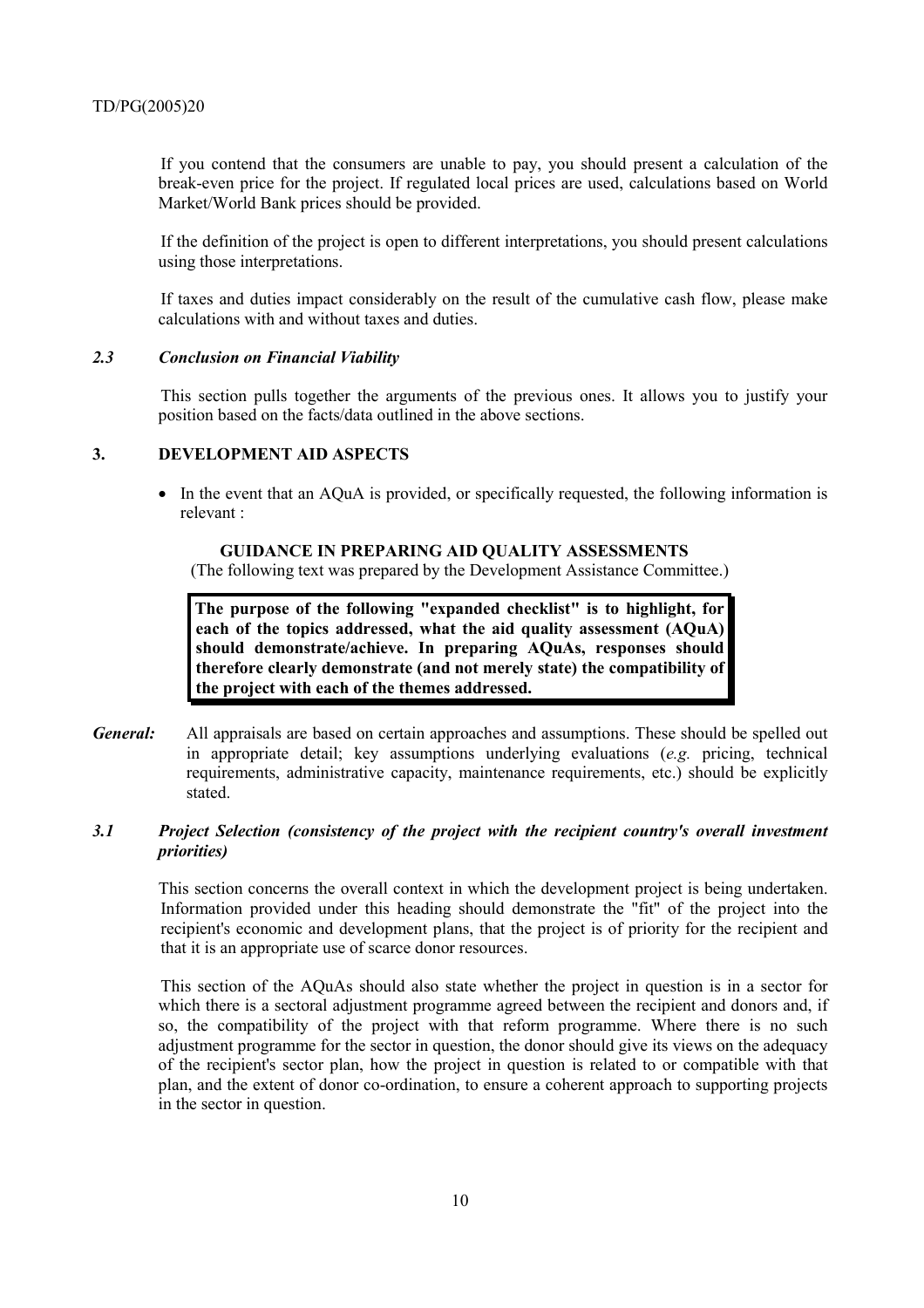If you contend that the consumers are unable to pay, you should present a calculation of the break-even price for the project. If regulated local prices are used, calculations based on World Market/World Bank prices should be provided.

If the definition of the project is open to different interpretations, you should present calculations using those interpretations.

If taxes and duties impact considerably on the result of the cumulative cash flow, please make calculations with and without taxes and duties.

#### *2.3 Conclusion on Financial Viability*

This section pulls together the arguments of the previous ones. It allows you to justify your position based on the facts/data outlined in the above sections.

## **3. DEVELOPMENT AID ASPECTS**

• In the event that an AQuA is provided, or specifically requested, the following information is relevant :

#### **GUIDANCE IN PREPARING AID QUALITY ASSESSMENTS**

(The following text was prepared by the Development Assistance Committee.)

**The purpose of the following "expanded checklist" is to highlight, for each of the topics addressed, what the aid quality assessment (AQuA) should demonstrate/achieve. In preparing AQuAs, responses should therefore clearly demonstrate (and not merely state) the compatibility of the project with each of the themes addressed.** 

*General:* All appraisals are based on certain approaches and assumptions. These should be spelled out in appropriate detail; key assumptions underlying evaluations (*e.g.* pricing, technical requirements, administrative capacity, maintenance requirements, etc.) should be explicitly stated.

## *3.1 Project Selection (consistency of the project with the recipient country's overall investment priorities)*

This section concerns the overall context in which the development project is being undertaken. Information provided under this heading should demonstrate the "fit" of the project into the recipient's economic and development plans, that the project is of priority for the recipient and that it is an appropriate use of scarce donor resources.

This section of the AQuAs should also state whether the project in question is in a sector for which there is a sectoral adjustment programme agreed between the recipient and donors and, if so, the compatibility of the project with that reform programme. Where there is no such adjustment programme for the sector in question, the donor should give its views on the adequacy of the recipient's sector plan, how the project in question is related to or compatible with that plan, and the extent of donor co-ordination, to ensure a coherent approach to supporting projects in the sector in question.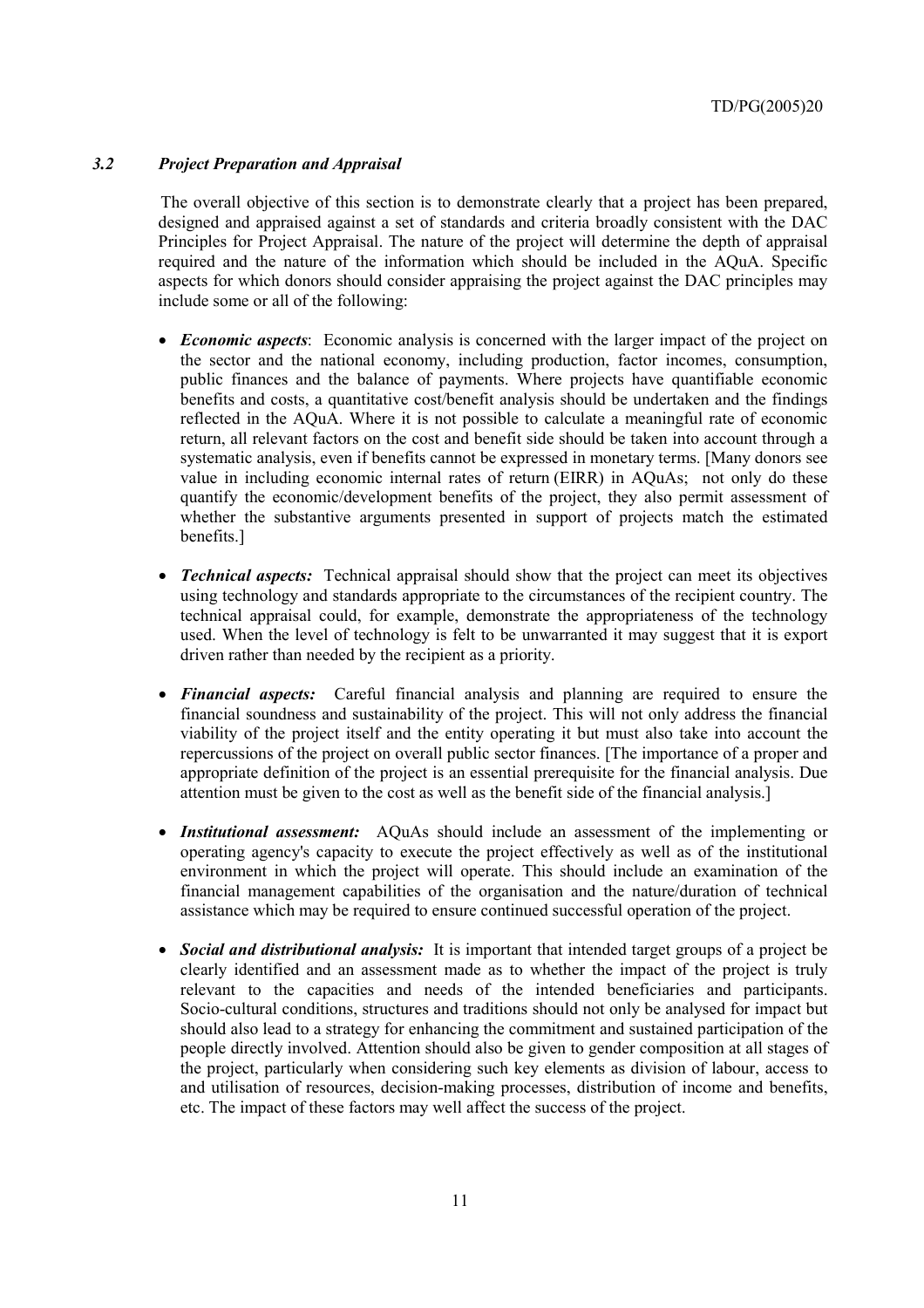## *3.2 Project Preparation and Appraisal*

The overall objective of this section is to demonstrate clearly that a project has been prepared, designed and appraised against a set of standards and criteria broadly consistent with the DAC Principles for Project Appraisal. The nature of the project will determine the depth of appraisal required and the nature of the information which should be included in the AQuA. Specific aspects for which donors should consider appraising the project against the DAC principles may include some or all of the following:

- *Economic aspects*: Economic analysis is concerned with the larger impact of the project on the sector and the national economy, including production, factor incomes, consumption, public finances and the balance of payments. Where projects have quantifiable economic benefits and costs, a quantitative cost/benefit analysis should be undertaken and the findings reflected in the AQuA. Where it is not possible to calculate a meaningful rate of economic return, all relevant factors on the cost and benefit side should be taken into account through a systematic analysis, even if benefits cannot be expressed in monetary terms. [Many donors see value in including economic internal rates of return (EIRR) in AQuAs; not only do these quantify the economic/development benefits of the project, they also permit assessment of whether the substantive arguments presented in support of projects match the estimated benefits.]
- *Technical aspects:* Technical appraisal should show that the project can meet its objectives using technology and standards appropriate to the circumstances of the recipient country. The technical appraisal could, for example, demonstrate the appropriateness of the technology used. When the level of technology is felt to be unwarranted it may suggest that it is export driven rather than needed by the recipient as a priority.
- *Financial aspects:* Careful financial analysis and planning are required to ensure the financial soundness and sustainability of the project. This will not only address the financial viability of the project itself and the entity operating it but must also take into account the repercussions of the project on overall public sector finances. [The importance of a proper and appropriate definition of the project is an essential prerequisite for the financial analysis. Due attention must be given to the cost as well as the benefit side of the financial analysis.]
- *Institutional assessment:* AQuAs should include an assessment of the implementing or operating agency's capacity to execute the project effectively as well as of the institutional environment in which the project will operate. This should include an examination of the financial management capabilities of the organisation and the nature/duration of technical assistance which may be required to ensure continued successful operation of the project.
- *Social and distributional analysis:* It is important that intended target groups of a project be clearly identified and an assessment made as to whether the impact of the project is truly relevant to the capacities and needs of the intended beneficiaries and participants. Socio-cultural conditions, structures and traditions should not only be analysed for impact but should also lead to a strategy for enhancing the commitment and sustained participation of the people directly involved. Attention should also be given to gender composition at all stages of the project, particularly when considering such key elements as division of labour, access to and utilisation of resources, decision-making processes, distribution of income and benefits, etc. The impact of these factors may well affect the success of the project.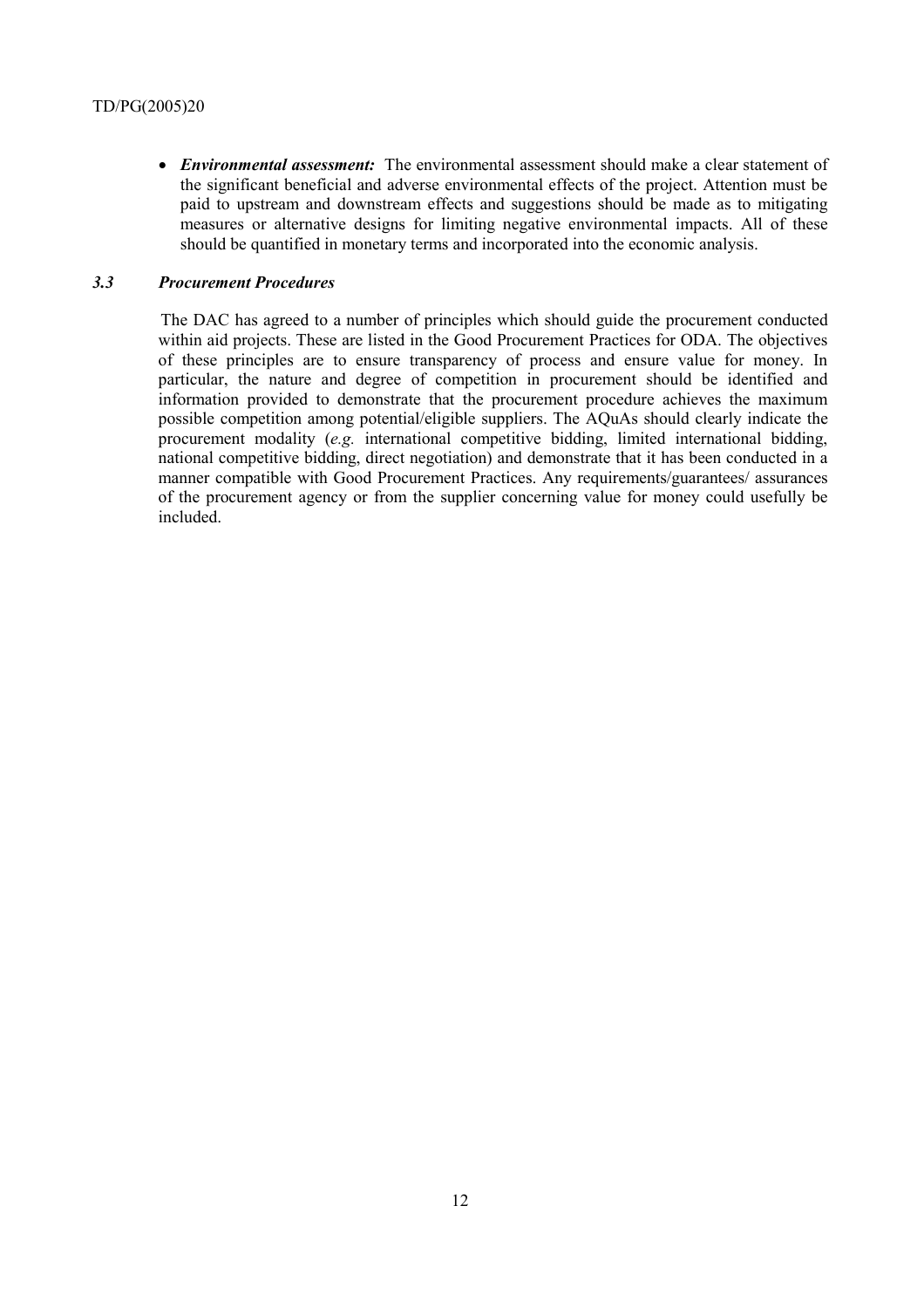• *Environmental assessment:* The environmental assessment should make a clear statement of the significant beneficial and adverse environmental effects of the project. Attention must be paid to upstream and downstream effects and suggestions should be made as to mitigating measures or alternative designs for limiting negative environmental impacts. All of these should be quantified in monetary terms and incorporated into the economic analysis.

#### *3.3 Procurement Procedures*

The DAC has agreed to a number of principles which should guide the procurement conducted within aid projects. These are listed in the Good Procurement Practices for ODA. The objectives of these principles are to ensure transparency of process and ensure value for money. In particular, the nature and degree of competition in procurement should be identified and information provided to demonstrate that the procurement procedure achieves the maximum possible competition among potential/eligible suppliers. The AQuAs should clearly indicate the procurement modality (*e.g.* international competitive bidding, limited international bidding, national competitive bidding, direct negotiation) and demonstrate that it has been conducted in a manner compatible with Good Procurement Practices. Any requirements/guarantees/ assurances of the procurement agency or from the supplier concerning value for money could usefully be included.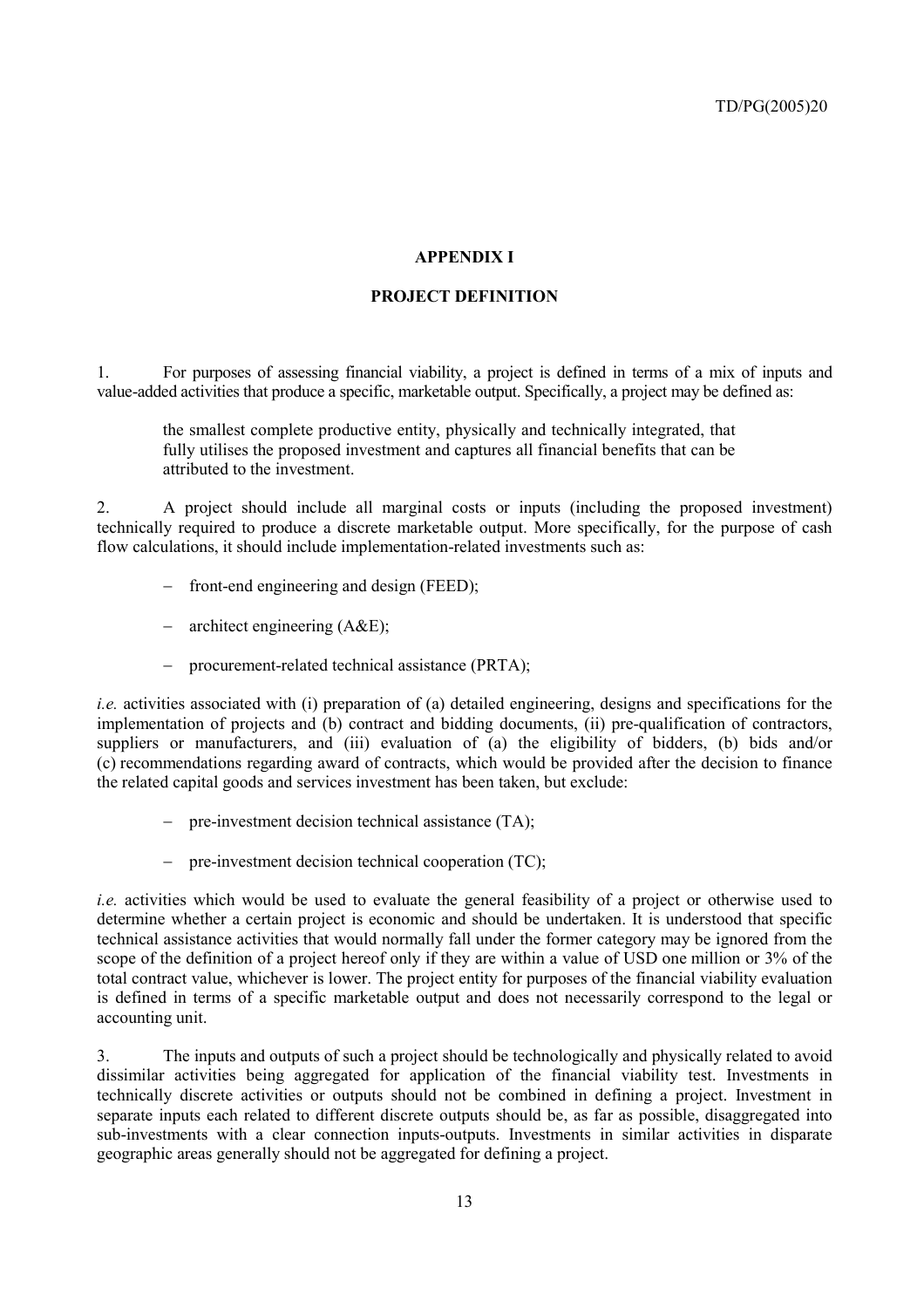## **APPENDIX I**

## **PROJECT DEFINITION**

1. For purposes of assessing financial viability, a project is defined in terms of a mix of inputs and value-added activities that produce a specific, marketable output. Specifically, a project may be defined as:

the smallest complete productive entity, physically and technically integrated, that fully utilises the proposed investment and captures all financial benefits that can be attributed to the investment.

2. A project should include all marginal costs or inputs (including the proposed investment) technically required to produce a discrete marketable output. More specifically, for the purpose of cash flow calculations, it should include implementation-related investments such as:

- − front-end engineering and design (FEED);
- − architect engineering (A&E);
- − procurement-related technical assistance (PRTA);

*i.e.* activities associated with (i) preparation of (a) detailed engineering, designs and specifications for the implementation of projects and (b) contract and bidding documents, (ii) pre-qualification of contractors, suppliers or manufacturers, and (iii) evaluation of (a) the eligibility of bidders, (b) bids and/or (c) recommendations regarding award of contracts, which would be provided after the decision to finance the related capital goods and services investment has been taken, but exclude:

- − pre-investment decision technical assistance (TA);
- − pre-investment decision technical cooperation (TC);

*i.e.* activities which would be used to evaluate the general feasibility of a project or otherwise used to determine whether a certain project is economic and should be undertaken. It is understood that specific technical assistance activities that would normally fall under the former category may be ignored from the scope of the definition of a project hereof only if they are within a value of USD one million or 3% of the total contract value, whichever is lower. The project entity for purposes of the financial viability evaluation is defined in terms of a specific marketable output and does not necessarily correspond to the legal or accounting unit.

3. The inputs and outputs of such a project should be technologically and physically related to avoid dissimilar activities being aggregated for application of the financial viability test. Investments in technically discrete activities or outputs should not be combined in defining a project. Investment in separate inputs each related to different discrete outputs should be, as far as possible, disaggregated into sub-investments with a clear connection inputs-outputs. Investments in similar activities in disparate geographic areas generally should not be aggregated for defining a project.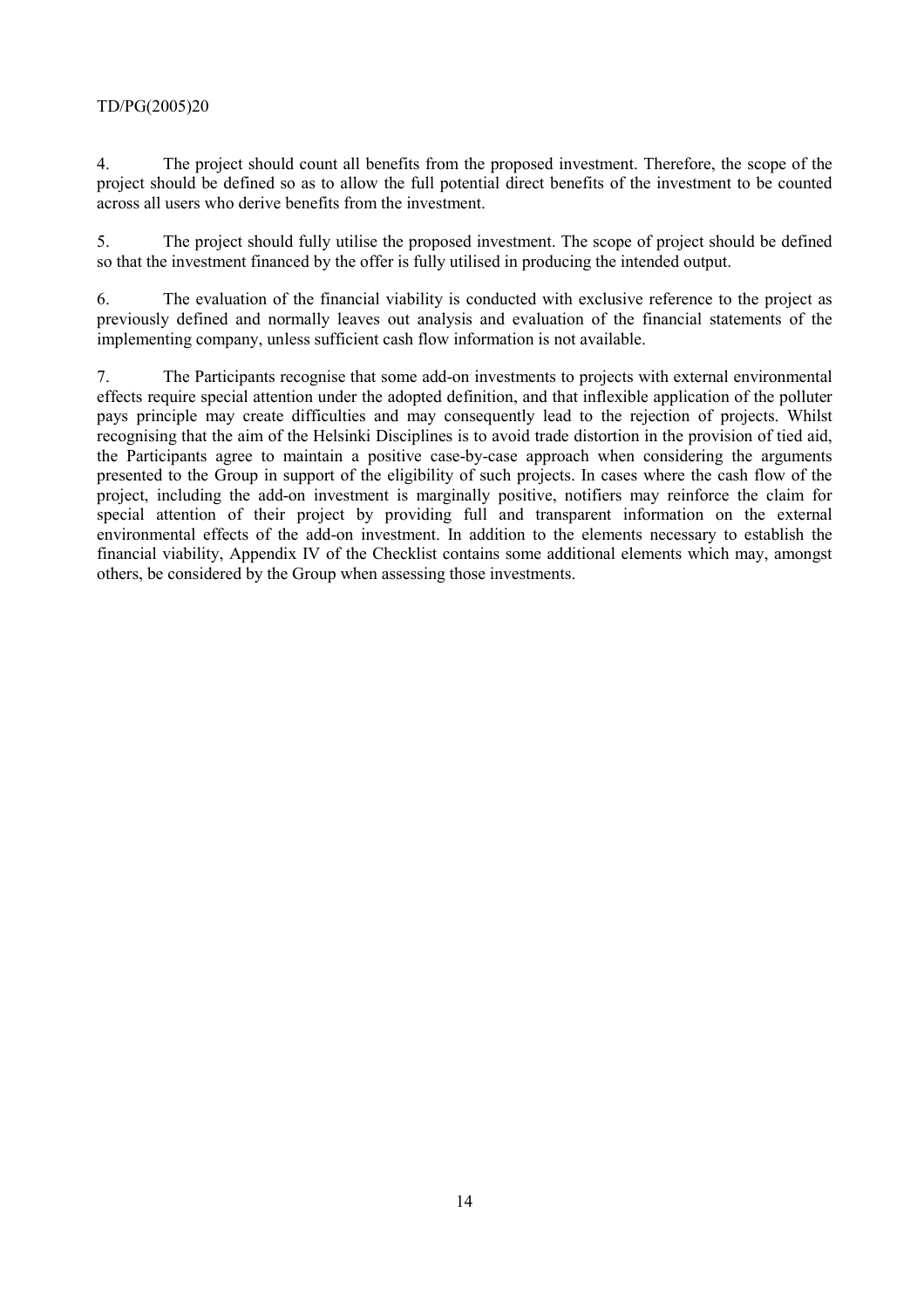## TD/PG(2005)20

4. The project should count all benefits from the proposed investment. Therefore, the scope of the project should be defined so as to allow the full potential direct benefits of the investment to be counted across all users who derive benefits from the investment.

5. The project should fully utilise the proposed investment. The scope of project should be defined so that the investment financed by the offer is fully utilised in producing the intended output.

6. The evaluation of the financial viability is conducted with exclusive reference to the project as previously defined and normally leaves out analysis and evaluation of the financial statements of the implementing company, unless sufficient cash flow information is not available.

7. The Participants recognise that some add-on investments to projects with external environmental effects require special attention under the adopted definition, and that inflexible application of the polluter pays principle may create difficulties and may consequently lead to the rejection of projects. Whilst recognising that the aim of the Helsinki Disciplines is to avoid trade distortion in the provision of tied aid, the Participants agree to maintain a positive case-by-case approach when considering the arguments presented to the Group in support of the eligibility of such projects. In cases where the cash flow of the project, including the add-on investment is marginally positive, notifiers may reinforce the claim for special attention of their project by providing full and transparent information on the external environmental effects of the add-on investment. In addition to the elements necessary to establish the financial viability, Appendix IV of the Checklist contains some additional elements which may, amongst others, be considered by the Group when assessing those investments.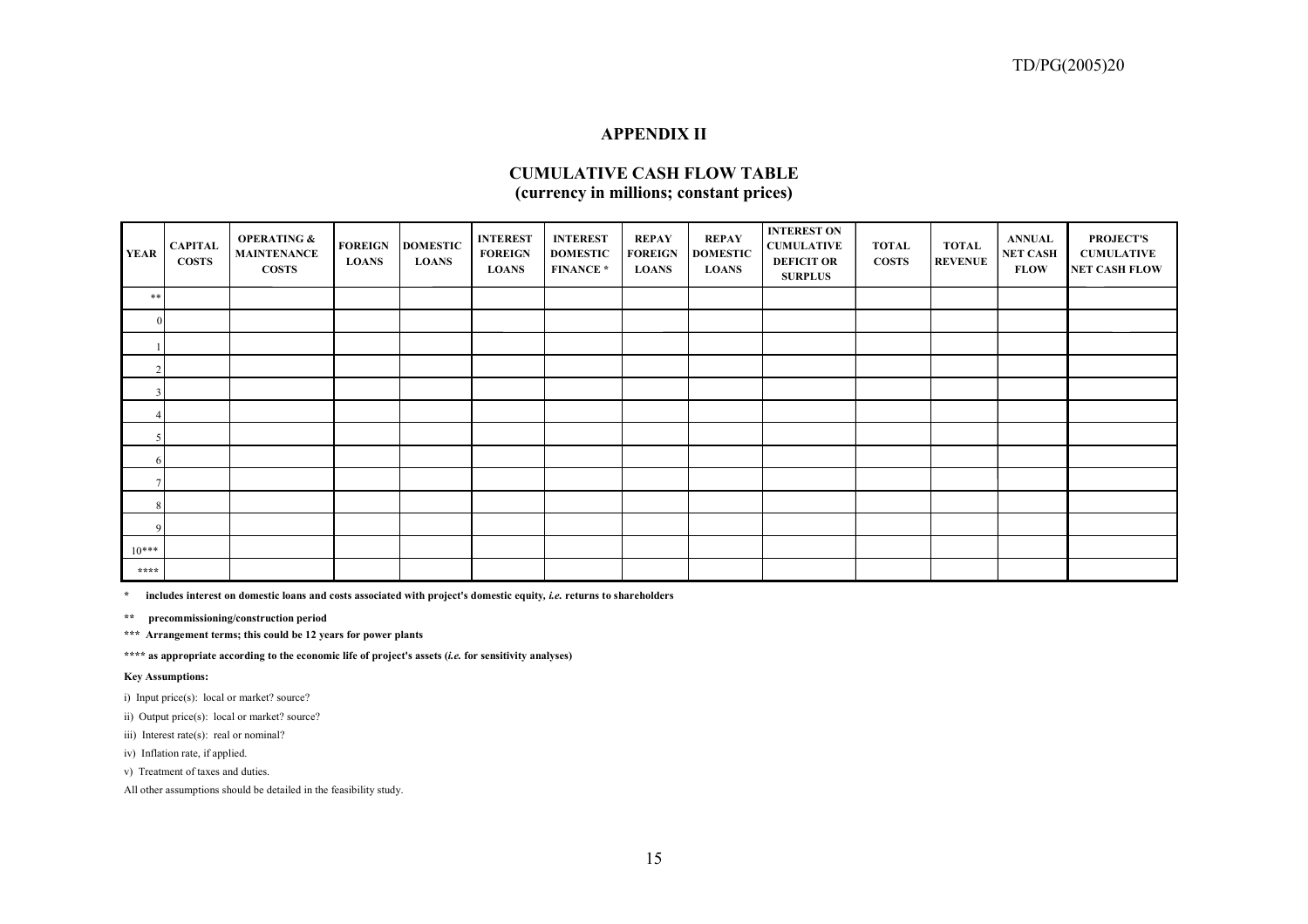#### **APPENDIX II**

## **CUMULATIVE CASH FLOW TABLE (currency in millions; constant prices)**

| <b>YEAR</b>    | <b>CAPITAL</b><br><b>COSTS</b> | <b>OPERATING &amp;</b><br><b>MAINTENANCE</b><br><b>COSTS</b> | <b>FOREIGN</b><br><b>LOANS</b> | <b>DOMESTIC</b><br><b>LOANS</b> | <b>INTEREST</b><br><b>FOREIGN</b><br><b>LOANS</b> | <b>INTEREST</b><br><b>DOMESTIC</b><br><b>FINANCE*</b> | <b>REPAY</b><br><b>FOREIGN</b><br><b>LOANS</b> | <b>REPAY</b><br><b>DOMESTIC</b><br><b>LOANS</b> | <b>INTEREST ON</b><br><b>CUMULATIVE</b><br><b>DEFICIT OR</b><br><b>SURPLUS</b> | <b>TOTAL</b><br><b>COSTS</b> | <b>TOTAL</b><br><b>REVENUE</b> | <b>ANNUAL</b><br><b>NET CASH</b><br><b>FLOW</b> | <b>PROJECT'S</b><br><b>CUMULATIVE</b><br>NET CASH FLOW |
|----------------|--------------------------------|--------------------------------------------------------------|--------------------------------|---------------------------------|---------------------------------------------------|-------------------------------------------------------|------------------------------------------------|-------------------------------------------------|--------------------------------------------------------------------------------|------------------------------|--------------------------------|-------------------------------------------------|--------------------------------------------------------|
| **             |                                |                                                              |                                |                                 |                                                   |                                                       |                                                |                                                 |                                                                                |                              |                                |                                                 |                                                        |
| $\Omega$       |                                |                                                              |                                |                                 |                                                   |                                                       |                                                |                                                 |                                                                                |                              |                                |                                                 |                                                        |
|                |                                |                                                              |                                |                                 |                                                   |                                                       |                                                |                                                 |                                                                                |                              |                                |                                                 |                                                        |
| $\sqrt{2}$     |                                |                                                              |                                |                                 |                                                   |                                                       |                                                |                                                 |                                                                                |                              |                                |                                                 |                                                        |
| 3              |                                |                                                              |                                |                                 |                                                   |                                                       |                                                |                                                 |                                                                                |                              |                                |                                                 |                                                        |
|                |                                |                                                              |                                |                                 |                                                   |                                                       |                                                |                                                 |                                                                                |                              |                                |                                                 |                                                        |
|                |                                |                                                              |                                |                                 |                                                   |                                                       |                                                |                                                 |                                                                                |                              |                                |                                                 |                                                        |
| 6 <sup>1</sup> |                                |                                                              |                                |                                 |                                                   |                                                       |                                                |                                                 |                                                                                |                              |                                |                                                 |                                                        |
|                |                                |                                                              |                                |                                 |                                                   |                                                       |                                                |                                                 |                                                                                |                              |                                |                                                 |                                                        |
| 8              |                                |                                                              |                                |                                 |                                                   |                                                       |                                                |                                                 |                                                                                |                              |                                |                                                 |                                                        |
| 9              |                                |                                                              |                                |                                 |                                                   |                                                       |                                                |                                                 |                                                                                |                              |                                |                                                 |                                                        |
| $10***$        |                                |                                                              |                                |                                 |                                                   |                                                       |                                                |                                                 |                                                                                |                              |                                |                                                 |                                                        |
| ****           |                                |                                                              |                                |                                 |                                                   |                                                       |                                                |                                                 |                                                                                |                              |                                |                                                 |                                                        |

**\* includes interest on domestic loans and costs associated with project's domestic equity***, i.e.* **returns to shareholders**

**\*\* precommissioning/construction period**

**\*\*\* Arrangement terms; this could be 12 years for power plants**

**\*\*\*\* as appropriate according to the economic life of project's assets (***i.e.* **for sensitivity analyses)**

**Key Assumptions:**

i) Input price(s): local or market? source?

ii) Output price(s): local or market? source?

iii) Interest rate(s): real or nominal?

iv) Inflation rate, if applied.

v) Treatment of taxes and duties.

All other assumptions should be detailed in the feasibility study.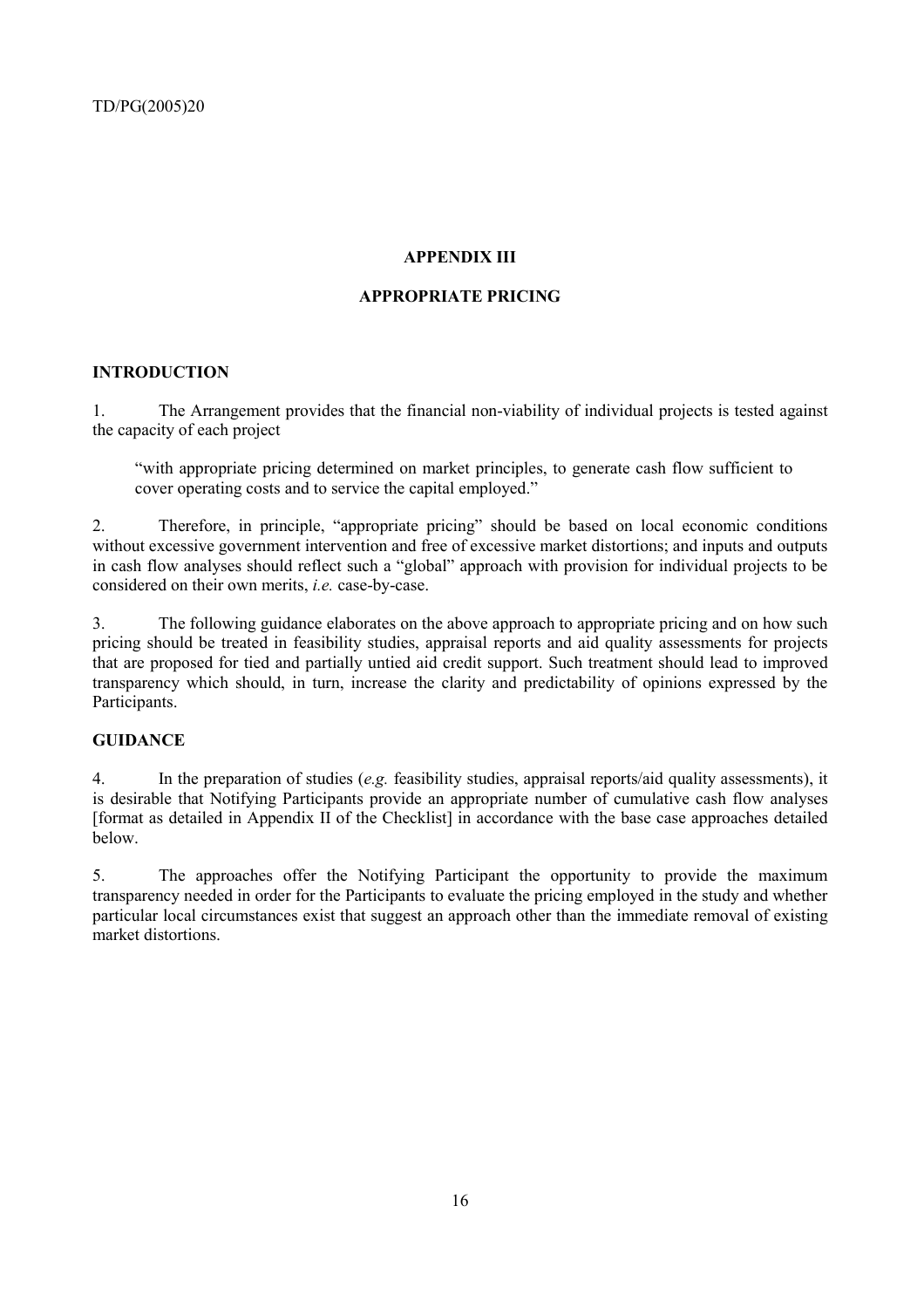## **APPENDIX III**

## **APPROPRIATE PRICING**

## **INTRODUCTION**

1. The Arrangement provides that the financial non-viability of individual projects is tested against the capacity of each project

"with appropriate pricing determined on market principles, to generate cash flow sufficient to cover operating costs and to service the capital employed."

2. Therefore, in principle, "appropriate pricing" should be based on local economic conditions without excessive government intervention and free of excessive market distortions; and inputs and outputs in cash flow analyses should reflect such a "global" approach with provision for individual projects to be considered on their own merits, *i.e.* case-by-case.

3. The following guidance elaborates on the above approach to appropriate pricing and on how such pricing should be treated in feasibility studies, appraisal reports and aid quality assessments for projects that are proposed for tied and partially untied aid credit support. Such treatment should lead to improved transparency which should, in turn, increase the clarity and predictability of opinions expressed by the Participants.

## **GUIDANCE**

4. In the preparation of studies (*e.g.* feasibility studies, appraisal reports/aid quality assessments), it is desirable that Notifying Participants provide an appropriate number of cumulative cash flow analyses [format as detailed in Appendix II of the Checklist] in accordance with the base case approaches detailed below.

5. The approaches offer the Notifying Participant the opportunity to provide the maximum transparency needed in order for the Participants to evaluate the pricing employed in the study and whether particular local circumstances exist that suggest an approach other than the immediate removal of existing market distortions.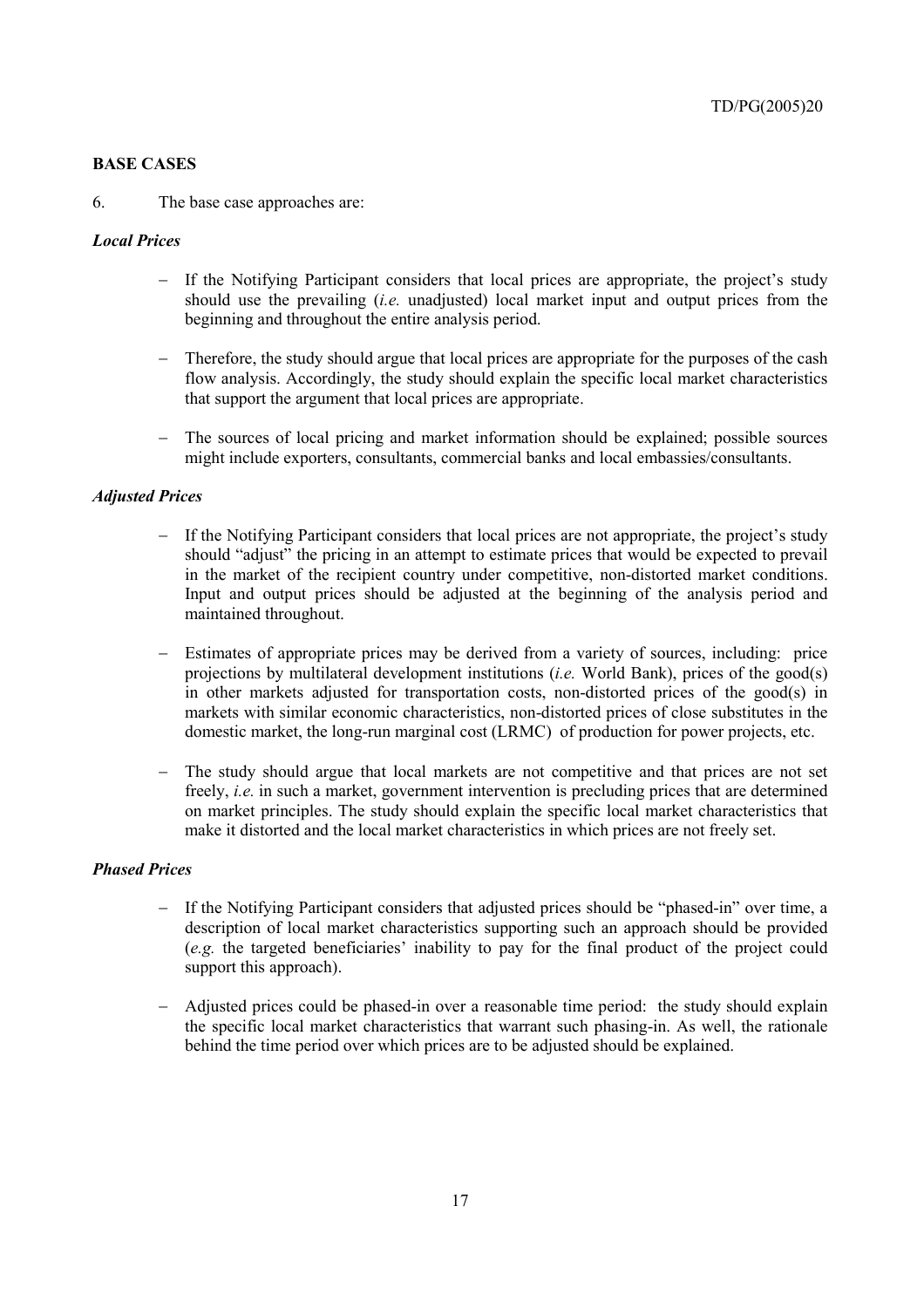## **BASE CASES**

#### 6. The base case approaches are:

#### *Local Prices*

- − If the Notifying Participant considers that local prices are appropriate, the project's study should use the prevailing (*i.e.* unadjusted) local market input and output prices from the beginning and throughout the entire analysis period.
- Therefore, the study should argue that local prices are appropriate for the purposes of the cash flow analysis. Accordingly, the study should explain the specific local market characteristics that support the argument that local prices are appropriate.
- The sources of local pricing and market information should be explained; possible sources might include exporters, consultants, commercial banks and local embassies/consultants.

#### *Adjusted Prices*

- If the Notifying Participant considers that local prices are not appropriate, the project's study should "adjust" the pricing in an attempt to estimate prices that would be expected to prevail in the market of the recipient country under competitive, non-distorted market conditions. Input and output prices should be adjusted at the beginning of the analysis period and maintained throughout.
- − Estimates of appropriate prices may be derived from a variety of sources, including: price projections by multilateral development institutions (*i.e.* World Bank), prices of the good(s) in other markets adjusted for transportation costs, non-distorted prices of the good(s) in markets with similar economic characteristics, non-distorted prices of close substitutes in the domestic market, the long-run marginal cost (LRMC) of production for power projects, etc.
- The study should argue that local markets are not competitive and that prices are not set freely, *i.e.* in such a market, government intervention is precluding prices that are determined on market principles. The study should explain the specific local market characteristics that make it distorted and the local market characteristics in which prices are not freely set.

#### *Phased Prices*

- − If the Notifying Participant considers that adjusted prices should be "phased-in" over time, a description of local market characteristics supporting such an approach should be provided (*e.g.* the targeted beneficiaries' inability to pay for the final product of the project could support this approach).
- − Adjusted prices could be phased-in over a reasonable time period: the study should explain the specific local market characteristics that warrant such phasing-in. As well, the rationale behind the time period over which prices are to be adjusted should be explained.